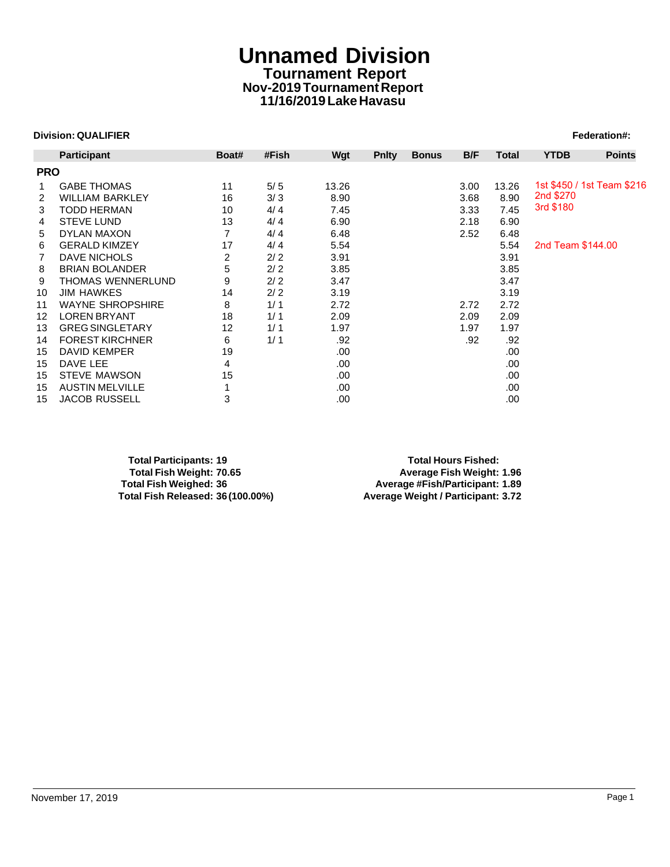# **Unnamed Division Tournament Report Nov-2019 Tournament Report 11/16/2019 Lake Havasu**

## **Division: QUALIFIER** Federation#:

|            | <b>Division: QUALIFIER</b> |                |       |       |              |              |      |              |                   | Federation#:               |
|------------|----------------------------|----------------|-------|-------|--------------|--------------|------|--------------|-------------------|----------------------------|
|            | <b>Participant</b>         | Boat#          | #Fish | Wgt   | <b>Pnlty</b> | <b>Bonus</b> | B/F  | <b>Total</b> | <b>YTDB</b>       | <b>Points</b>              |
| <b>PRO</b> |                            |                |       |       |              |              |      |              |                   |                            |
| 1          | <b>GABE THOMAS</b>         | 11             | $5/5$ | 13.26 |              |              | 3.00 | 13.26        |                   | 1st \$450 / 1st Team \$216 |
| 2          | <b>WILLIAM BARKLEY</b>     | 16             | 3/3   | 8.90  |              |              | 3.68 | 8.90         | 2nd \$270         |                            |
| 3          | <b>TODD HERMAN</b>         | 10             | 4/4   | 7.45  |              |              | 3.33 | 7.45         | 3rd \$180         |                            |
| 4          | <b>STEVE LUND</b>          | 13             | 4/4   | 6.90  |              |              | 2.18 | 6.90         |                   |                            |
| 5          | <b>DYLAN MAXON</b>         | $\overline{7}$ | 4/4   | 6.48  |              |              | 2.52 | 6.48         |                   |                            |
| 6          | <b>GERALD KIMZEY</b>       | 17             | 4/4   | 5.54  |              |              |      | 5.54         | 2nd Team \$144.00 |                            |
| 7          | <b>DAVE NICHOLS</b>        | 2              | 2/2   | 3.91  |              |              |      | 3.91         |                   |                            |
| 8          | <b>BRIAN BOLANDER</b>      | 5              | 2/2   | 3.85  |              |              |      | 3.85         |                   |                            |
| 9          | <b>THOMAS WENNERLUND</b>   | 9              | 2/2   | 3.47  |              |              |      | 3.47         |                   |                            |
| 10         | <b>JIM HAWKES</b>          | 14             | 2/2   | 3.19  |              |              |      | 3.19         |                   |                            |
| 11         | <b>WAYNE SHROPSHIRE</b>    | 8              | 1/1   | 2.72  |              |              | 2.72 | 2.72         |                   |                            |
| 12         | <b>LOREN BRYANT</b>        | 18             | 1/1   | 2.09  |              |              | 2.09 | 2.09         |                   |                            |
| 13         | <b>GREG SINGLETARY</b>     | 12             | 1/1   | 1.97  |              |              | 1.97 | 1.97         |                   |                            |
| 14         | <b>FOREST KIRCHNER</b>     | 6              | 1/1   | .92   |              |              | .92  | .92          |                   |                            |
| 15         | <b>DAVID KEMPER</b>        | 19             |       | .00   |              |              |      | .00.         |                   |                            |
| 15         | DAVE LEE                   | 4              |       | .00   |              |              |      | .00          |                   |                            |
| 15         | <b>STEVE MAWSON</b>        | 15             |       | .00.  |              |              |      | .00          |                   |                            |
| 15         | <b>AUSTIN MELVILLE</b>     |                |       | .00   |              |              |      | .00          |                   |                            |
| 15         | JACOB RUSSELL              | 3              |       | .00   |              |              |      | .00          |                   |                            |

**Total Participants: 19 Total Hours Fished: Total Fish Weight: 70.65 Average Fish Weight: 1.96 Total Fish Weighed: 36 Average #Fish/Participant: 1.89**

**Total Fish Released: 36 (100.00%) Average Weight / Participant: 3.72**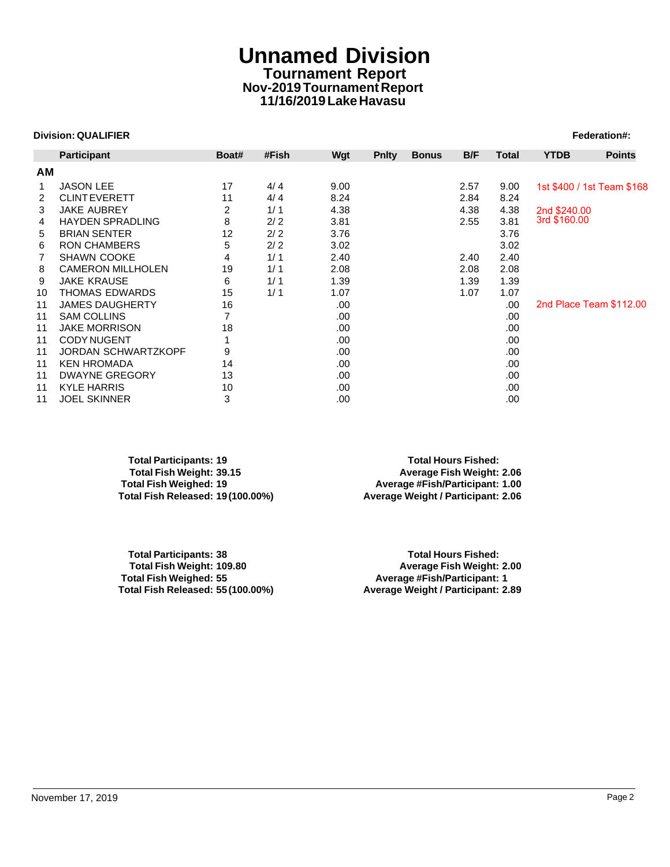# **Unnamed Division Tournament Report Nov-2019 Tournament Report 11/16/2019 Lake Havasu**

## **Division: QUALIFIER Federation#:**  $\blacksquare$

|    | <b>Participant</b>         | Boat# | #Fish | Wgt  | <b>Pnlty</b> | <b>Bonus</b> | B/F  | Total | <b>YTDB</b>  | <b>Points</b>              |
|----|----------------------------|-------|-------|------|--------------|--------------|------|-------|--------------|----------------------------|
|    |                            |       |       |      |              |              |      |       |              |                            |
| ΑM |                            |       |       |      |              |              |      |       |              |                            |
| 1  | <b>JASON LEE</b>           | 17    | 4/4   | 9.00 |              |              | 2.57 | 9.00  |              | 1st \$400 / 1st Team \$168 |
| 2  | <b>CLINT EVERETT</b>       | 11    | 4/4   | 8.24 |              |              | 2.84 | 8.24  |              |                            |
| 3  | <b>JAKE AUBREY</b>         | 2     | 1/1   | 4.38 |              |              | 4.38 | 4.38  | 2nd \$240.00 |                            |
| 4  | <b>HAYDEN SPRADLING</b>    | 8     | 2/2   | 3.81 |              |              | 2.55 | 3.81  | 3rd \$160.00 |                            |
| 5  | <b>BRIAN SENTER</b>        | 12    | 2/2   | 3.76 |              |              |      | 3.76  |              |                            |
| 6  | <b>RON CHAMBERS</b>        | 5     | 2/2   | 3.02 |              |              |      | 3.02  |              |                            |
| 7  | <b>SHAWN COOKE</b>         | 4     | 1/1   | 2.40 |              |              | 2.40 | 2.40  |              |                            |
| 8  | <b>CAMERON MILLHOLEN</b>   | 19    | 1/1   | 2.08 |              |              | 2.08 | 2.08  |              |                            |
| 9  | <b>JAKE KRAUSE</b>         | 6     | 1/1   | 1.39 |              |              | 1.39 | 1.39  |              |                            |
| 10 | THOMAS EDWARDS             | 15    | 1/1   | 1.07 |              |              | 1.07 | 1.07  |              |                            |
| 11 | <b>JAMES DAUGHERTY</b>     | 16    |       | .00  |              |              |      | .00   |              | 2nd Place Team \$112.00    |
| 11 | <b>SAM COLLINS</b>         |       |       | .00  |              |              |      | .00   |              |                            |
| 11 | <b>JAKE MORRISON</b>       | 18    |       | .00  |              |              |      | .00   |              |                            |
| 11 | <b>CODY NUGENT</b>         |       |       | .00  |              |              |      | .00   |              |                            |
| 11 | <b>JORDAN SCHWARTZKOPF</b> | 9     |       | .00  |              |              |      | .00   |              |                            |
| 11 | <b>KEN HROMADA</b>         | 14    |       | .00  |              |              |      | .00   |              |                            |
| 11 | <b>DWAYNE GREGORY</b>      | 13    |       | .00  |              |              |      | .00   |              |                            |
| 11 | <b>KYLE HARRIS</b>         | 10    |       | .00  |              |              |      | .00   |              |                            |
| 11 | <b>JOEL SKINNER</b>        | 3     |       | .00  |              |              |      | .00   |              |                            |

**Total Participants: 19 Total Hours Fished: Total Fish Weight: 39.15 Average Fish Weight: 2.06**

**Total Fish Weighed: 19 Average #Fish/Participant: 1.00 Total Fish Released: 19 (100.00%) Average Weight / Participant: 2.06**

**Total Participants: 38 Total Hours Fished:** 

**Total Fish Weight: 109.80 Average Fish Weight: 2.00 Total Fish Weighed: 55 Average #Fish/Participant: 1 Total Fish Released: 55 (100.00%) Average Weight / Participant: 2.89**